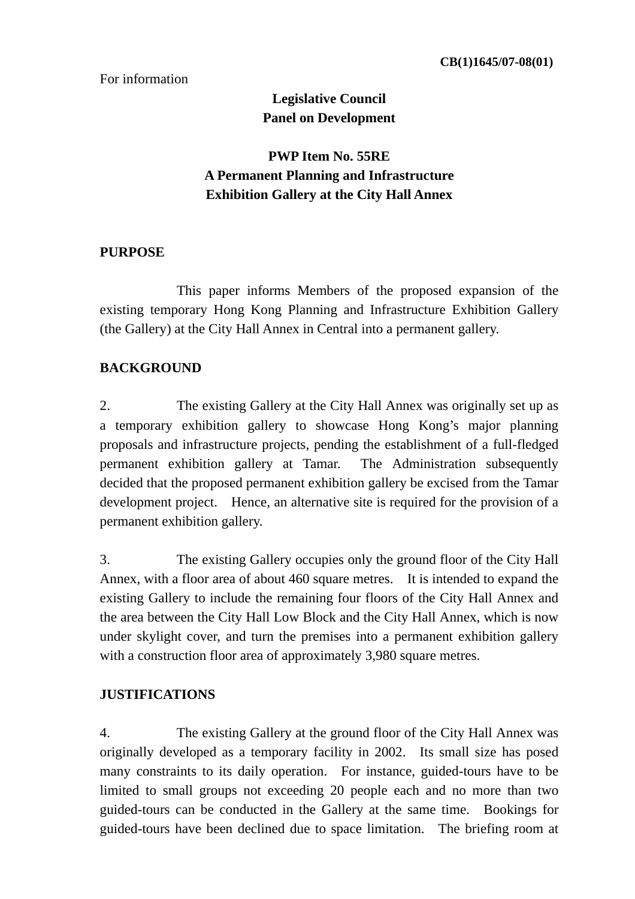#### For information

# **Legislative Council Panel on Development**

# **PWP Item No. 55RE A Permanent Planning and Infrastructure Exhibition Gallery at the City Hall Annex**

#### **PURPOSE**

 This paper informs Members of the proposed expansion of the existing temporary Hong Kong Planning and Infrastructure Exhibition Gallery (the Gallery) at the City Hall Annex in Central into a permanent gallery.

### **BACKGROUND**

2. The existing Gallery at the City Hall Annex was originally set up as a temporary exhibition gallery to showcase Hong Kong's major planning proposals and infrastructure projects, pending the establishment of a full-fledged permanent exhibition gallery at Tamar. The Administration subsequently decided that the proposed permanent exhibition gallery be excised from the Tamar development project. Hence, an alternative site is required for the provision of a permanent exhibition gallery.

3. The existing Gallery occupies only the ground floor of the City Hall Annex, with a floor area of about 460 square metres. It is intended to expand the existing Gallery to include the remaining four floors of the City Hall Annex and the area between the City Hall Low Block and the City Hall Annex, which is now under skylight cover, and turn the premises into a permanent exhibition gallery with a construction floor area of approximately 3,980 square metres.

#### **JUSTIFICATIONS**

4. The existing Gallery at the ground floor of the City Hall Annex was originally developed as a temporary facility in 2002. Its small size has posed many constraints to its daily operation. For instance, guided-tours have to be limited to small groups not exceeding 20 people each and no more than two guided-tours can be conducted in the Gallery at the same time. Bookings for guided-tours have been declined due to space limitation. The briefing room at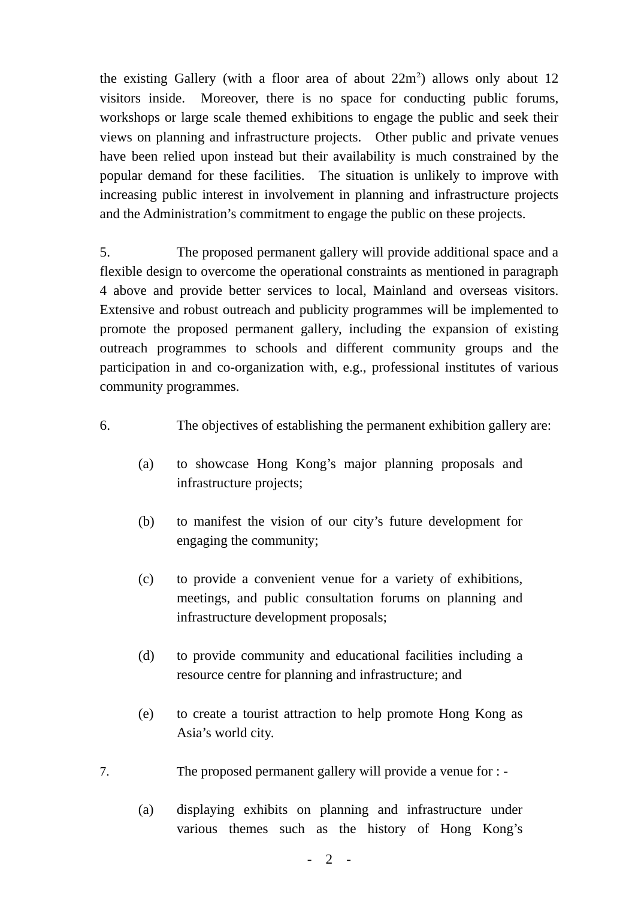the existing Gallery (with a floor area of about  $22m^2$ ) allows only about 12 visitors inside. Moreover, there is no space for conducting public forums, workshops or large scale themed exhibitions to engage the public and seek their views on planning and infrastructure projects. Other public and private venues have been relied upon instead but their availability is much constrained by the popular demand for these facilities. The situation is unlikely to improve with increasing public interest in involvement in planning and infrastructure projects and the Administration's commitment to engage the public on these projects.

5. The proposed permanent gallery will provide additional space and a flexible design to overcome the operational constraints as mentioned in paragraph 4 above and provide better services to local, Mainland and overseas visitors. Extensive and robust outreach and publicity programmes will be implemented to promote the proposed permanent gallery, including the expansion of existing outreach programmes to schools and different community groups and the participation in and co-organization with, e.g., professional institutes of various community programmes.

- 6. The objectives of establishing the permanent exhibition gallery are:
	- (a) to showcase Hong Kong's major planning proposals and infrastructure projects;
	- (b) to manifest the vision of our city's future development for engaging the community;
	- (c) to provide a convenient venue for a variety of exhibitions, meetings, and public consultation forums on planning and infrastructure development proposals;
	- (d) to provide community and educational facilities including a resource centre for planning and infrastructure; and
	- (e) to create a tourist attraction to help promote Hong Kong as Asia's world city.
- 7. The proposed permanent gallery will provide a venue for :
	- (a) displaying exhibits on planning and infrastructure under various themes such as the history of Hong Kong's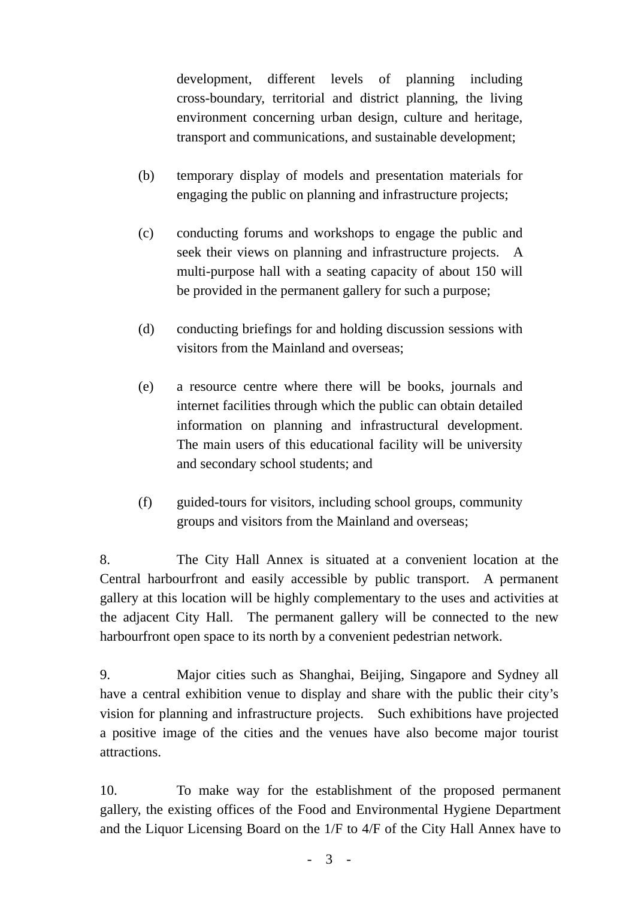development, different levels of planning including cross-boundary, territorial and district planning, the living environment concerning urban design, culture and heritage, transport and communications, and sustainable development;

- (b) temporary display of models and presentation materials for engaging the public on planning and infrastructure projects;
- (c) conducting forums and workshops to engage the public and seek their views on planning and infrastructure projects. A multi-purpose hall with a seating capacity of about 150 will be provided in the permanent gallery for such a purpose;
- (d) conducting briefings for and holding discussion sessions with visitors from the Mainland and overseas;
- (e) a resource centre where there will be books, journals and internet facilities through which the public can obtain detailed information on planning and infrastructural development. The main users of this educational facility will be university and secondary school students; and
- (f) guided-tours for visitors, including school groups, community groups and visitors from the Mainland and overseas;

8. The City Hall Annex is situated at a convenient location at the Central harbourfront and easily accessible by public transport. A permanent gallery at this location will be highly complementary to the uses and activities at the adjacent City Hall. The permanent gallery will be connected to the new harbourfront open space to its north by a convenient pedestrian network.

9. Major cities such as Shanghai, Beijing, Singapore and Sydney all have a central exhibition venue to display and share with the public their city's vision for planning and infrastructure projects. Such exhibitions have projected a positive image of the cities and the venues have also become major tourist attractions.

10. To make way for the establishment of the proposed permanent gallery, the existing offices of the Food and Environmental Hygiene Department and the Liquor Licensing Board on the 1/F to 4/F of the City Hall Annex have to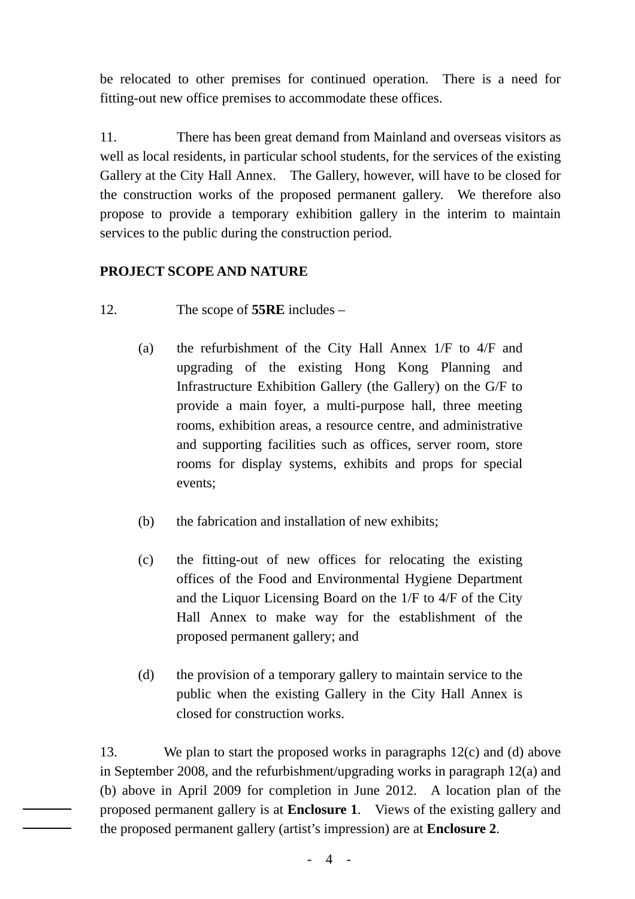be relocated to other premises for continued operation. There is a need for fitting-out new office premises to accommodate these offices.

11. There has been great demand from Mainland and overseas visitors as well as local residents, in particular school students, for the services of the existing Gallery at the City Hall Annex. The Gallery, however, will have to be closed for the construction works of the proposed permanent gallery. We therefore also propose to provide a temporary exhibition gallery in the interim to maintain services to the public during the construction period.

## **PROJECT SCOPE AND NATURE**

- 12. The scope of **55RE** includes
	- (a) the refurbishment of the City Hall Annex 1/F to 4/F and upgrading of the existing Hong Kong Planning and Infrastructure Exhibition Gallery (the Gallery) on the G/F to provide a main foyer, a multi-purpose hall, three meeting rooms, exhibition areas, a resource centre, and administrative and supporting facilities such as offices, server room, store rooms for display systems, exhibits and props for special events;
	- (b) the fabrication and installation of new exhibits;
	- (c) the fitting-out of new offices for relocating the existing offices of the Food and Environmental Hygiene Department and the Liquor Licensing Board on the 1/F to 4/F of the City Hall Annex to make way for the establishment of the proposed permanent gallery; and
	- (d) the provision of a temporary gallery to maintain service to the public when the existing Gallery in the City Hall Annex is closed for construction works.

13. We plan to start the proposed works in paragraphs 12(c) and (d) above in September 2008, and the refurbishment/upgrading works in paragraph 12(a) and (b) above in April 2009 for completion in June 2012. A location plan of the proposed permanent gallery is at **Enclosure 1**. Views of the existing gallery and the proposed permanent gallery (artist's impression) are at **Enclosure 2**.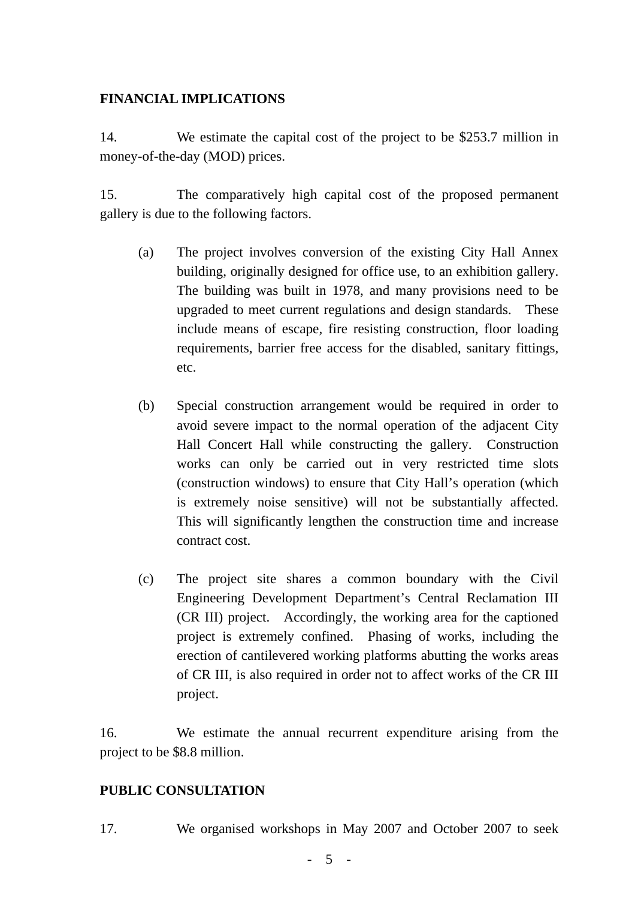### **FINANCIAL IMPLICATIONS**

14. We estimate the capital cost of the project to be \$253.7 million in money-of-the-day (MOD) prices.

15. The comparatively high capital cost of the proposed permanent gallery is due to the following factors.

- (a) The project involves conversion of the existing City Hall Annex building, originally designed for office use, to an exhibition gallery. The building was built in 1978, and many provisions need to be upgraded to meet current regulations and design standards. These include means of escape, fire resisting construction, floor loading requirements, barrier free access for the disabled, sanitary fittings, etc.
- (b) Special construction arrangement would be required in order to avoid severe impact to the normal operation of the adjacent City Hall Concert Hall while constructing the gallery. Construction works can only be carried out in very restricted time slots (construction windows) to ensure that City Hall's operation (which is extremely noise sensitive) will not be substantially affected. This will significantly lengthen the construction time and increase contract cost.
- (c) The project site shares a common boundary with the Civil Engineering Development Department's Central Reclamation III (CR III) project. Accordingly, the working area for the captioned project is extremely confined. Phasing of works, including the erection of cantilevered working platforms abutting the works areas of CR III, is also required in order not to affect works of the CR III project.

16. We estimate the annual recurrent expenditure arising from the project to be \$8.8 million.

#### **PUBLIC CONSULTATION**

17. We organised workshops in May 2007 and October 2007 to seek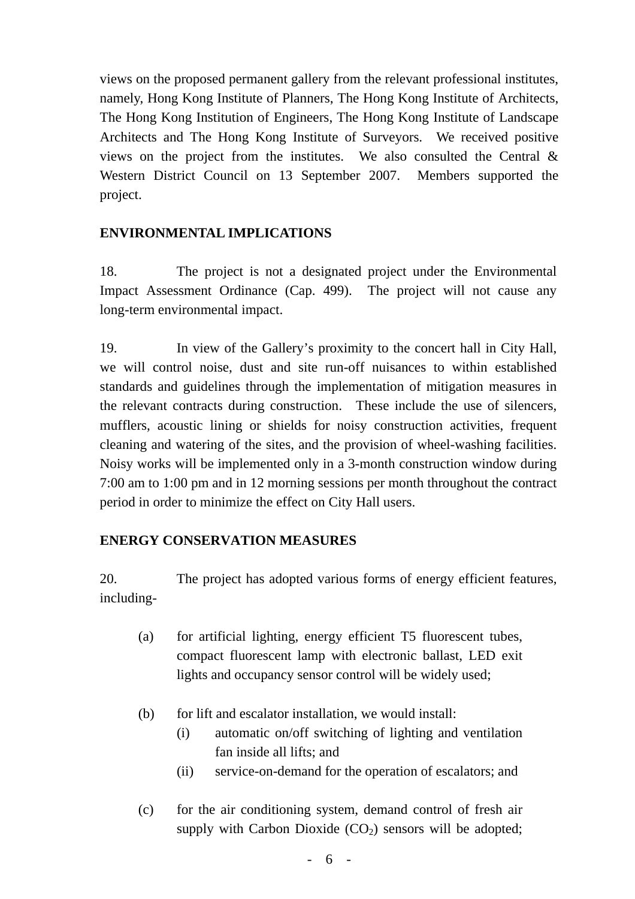views on the proposed permanent gallery from the relevant professional institutes, namely, Hong Kong Institute of Planners, The Hong Kong Institute of Architects, The Hong Kong Institution of Engineers, The Hong Kong Institute of Landscape Architects and The Hong Kong Institute of Surveyors. We received positive views on the project from the institutes. We also consulted the Central & Western District Council on 13 September 2007. Members supported the project.

### **ENVIRONMENTAL IMPLICATIONS**

18. The project is not a designated project under the Environmental Impact Assessment Ordinance (Cap. 499). The project will not cause any long-term environmental impact.

19. In view of the Gallery's proximity to the concert hall in City Hall, we will control noise, dust and site run-off nuisances to within established standards and guidelines through the implementation of mitigation measures in the relevant contracts during construction. These include the use of silencers, mufflers, acoustic lining or shields for noisy construction activities, frequent cleaning and watering of the sites, and the provision of wheel-washing facilities. Noisy works will be implemented only in a 3-month construction window during 7:00 am to 1:00 pm and in 12 morning sessions per month throughout the contract period in order to minimize the effect on City Hall users.

## **ENERGY CONSERVATION MEASURES**

20. The project has adopted various forms of energy efficient features, including-

- (a) for artificial lighting, energy efficient T5 fluorescent tubes, compact fluorescent lamp with electronic ballast, LED exit lights and occupancy sensor control will be widely used;
- (b) for lift and escalator installation, we would install:
	- (i) automatic on/off switching of lighting and ventilation fan inside all lifts; and
	- (ii) service-on-demand for the operation of escalators; and
- (c) for the air conditioning system, demand control of fresh air supply with Carbon Dioxide  $(CO_2)$  sensors will be adopted;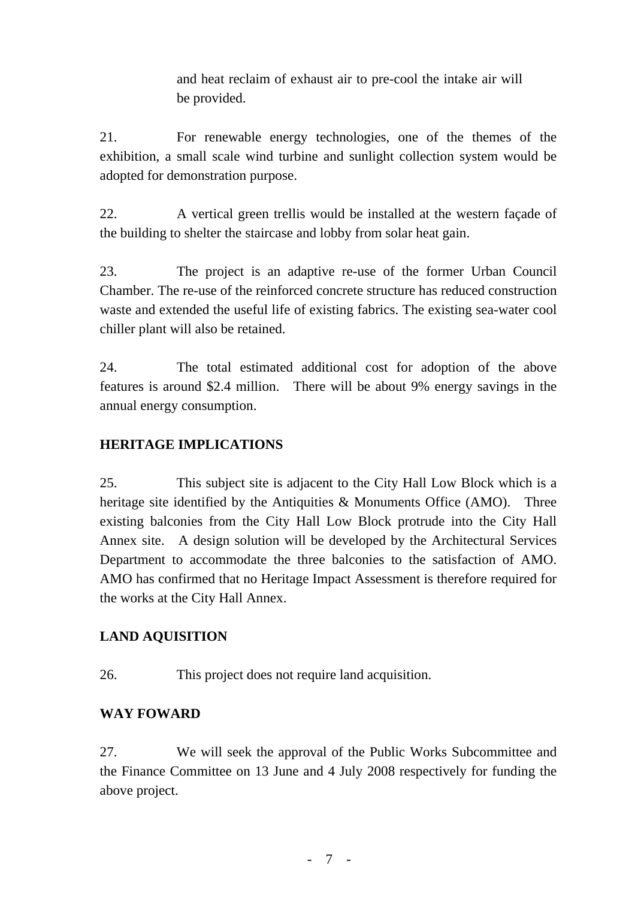and heat reclaim of exhaust air to pre-cool the intake air will be provided.

21. For renewable energy technologies, one of the themes of the exhibition, a small scale wind turbine and sunlight collection system would be adopted for demonstration purpose.

22. A vertical green trellis would be installed at the western façade of the building to shelter the staircase and lobby from solar heat gain.

23. The project is an adaptive re-use of the former Urban Council Chamber. The re-use of the reinforced concrete structure has reduced construction waste and extended the useful life of existing fabrics. The existing sea-water cool chiller plant will also be retained.

24. The total estimated additional cost for adoption of the above features is around \$2.4 million. There will be about 9% energy savings in the annual energy consumption.

# **HERITAGE IMPLICATIONS**

25. This subject site is adjacent to the City Hall Low Block which is a heritage site identified by the Antiquities & Monuments Office (AMO). Three existing balconies from the City Hall Low Block protrude into the City Hall Annex site. A design solution will be developed by the Architectural Services Department to accommodate the three balconies to the satisfaction of AMO. AMO has confirmed that no Heritage Impact Assessment is therefore required for the works at the City Hall Annex.

# **LAND AQUISITION**

26. This project does not require land acquisition.

# **WAY FOWARD**

27. We will seek the approval of the Public Works Subcommittee and the Finance Committee on 13 June and 4 July 2008 respectively for funding the above project.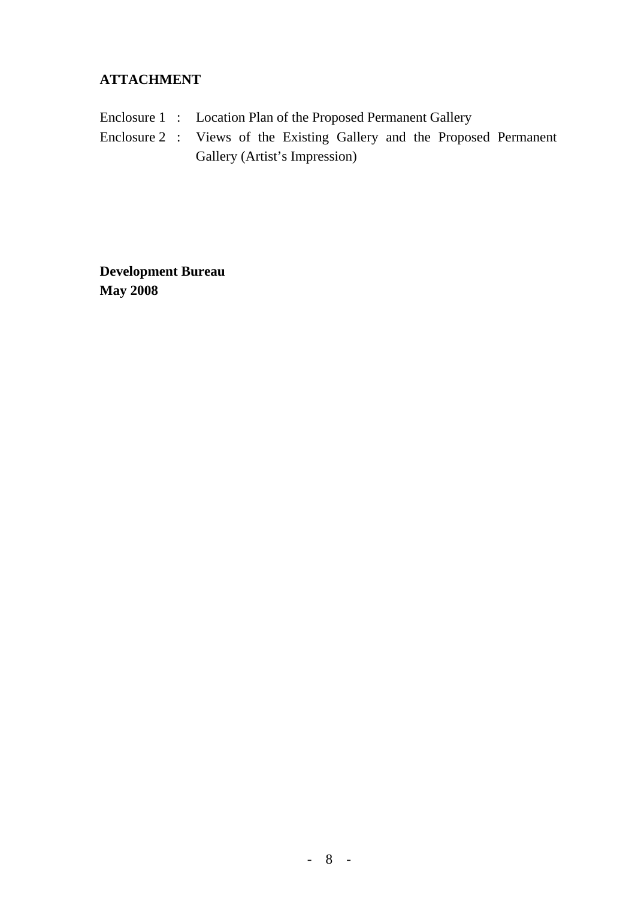## **ATTACHMENT**

- Enclosure 1 : Location Plan of the Proposed Permanent Gallery
- Enclosure 2 : Views of the Existing Gallery and the Proposed Permanent Gallery (Artist's Impression)

**Development Bureau May 2008**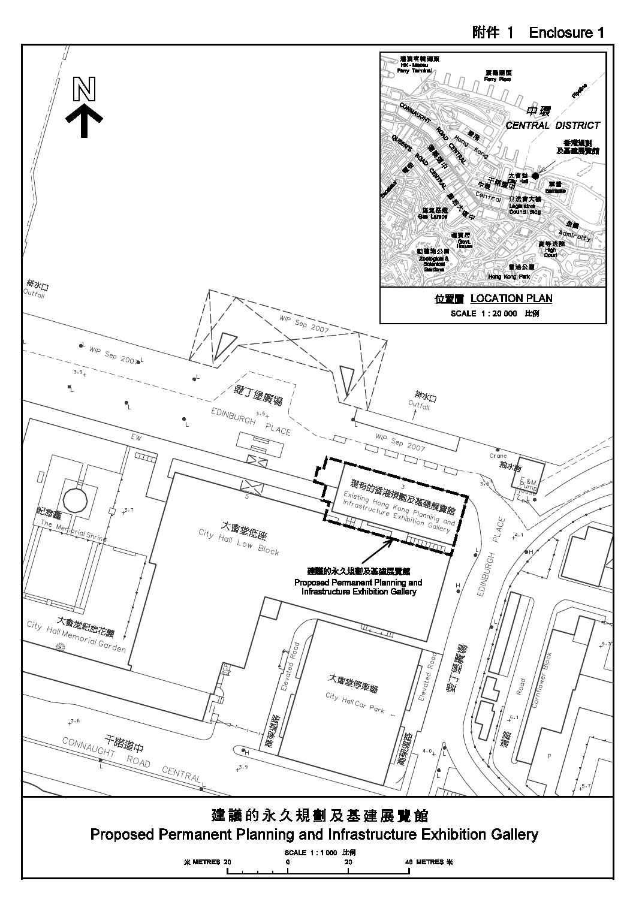### 附件 1 Enclosure 1

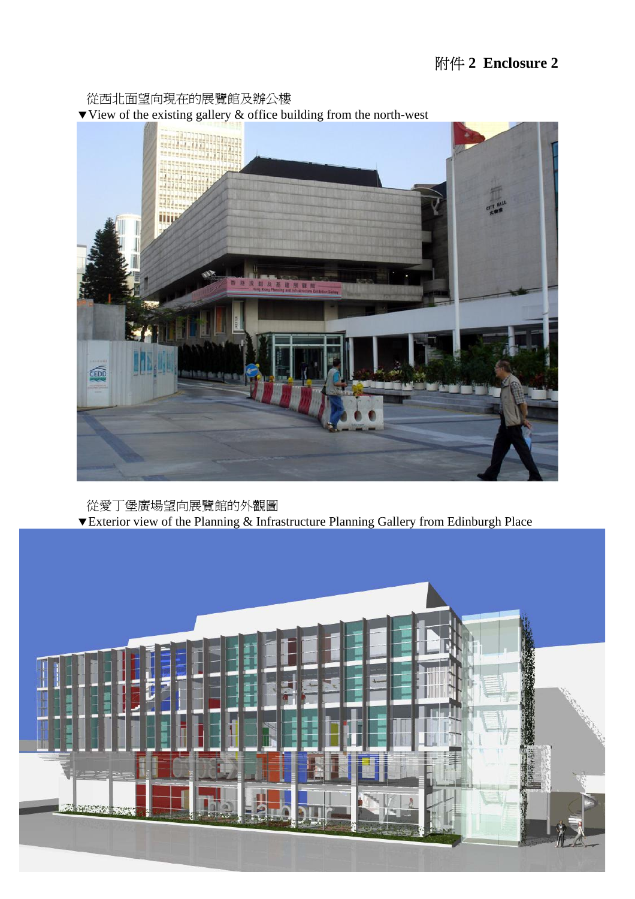從西北面望向現在的展覽館及辦公樓  $\blacktriangledown$  View of the existing gallery  $\&$  office building from the north-west



 從愛丁堡廣場望向展覽館的外觀圖  $\blacktriangledown$ Exterior view of the Planning & Infrastructure Planning Gallery from Edinburgh Place